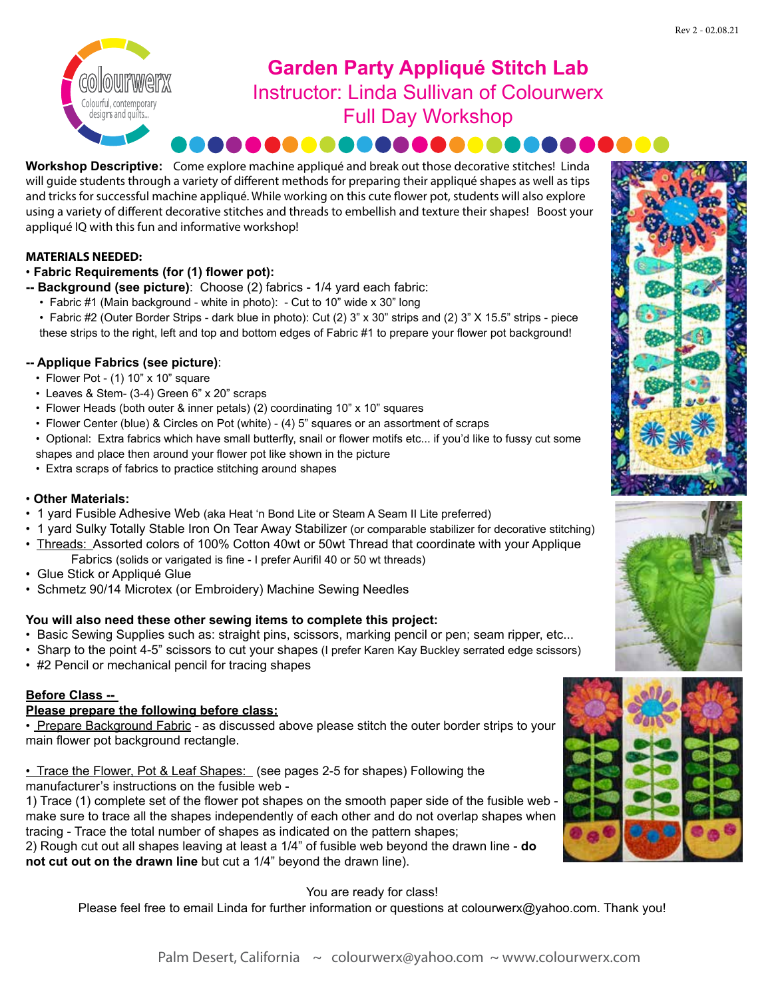

# **Garden Party Appliqué Stitch Lab** Instructor: Linda Sullivan of Colourwerx Full Day Workshop . . . . . . . . . . . . . . . .

#### **Workshop Descriptive:** Come explore machine appliqué and break out those decorative stitches! Linda will guide students through a variety of different methods for preparing their appliqué shapes as well as tips and tricks for successful machine appliqué. While working on this cute flower pot, students will also explore using a variety of different decorative stitches and threads to embellish and texture their shapes! Boost your appliqué IQ with this fun and informative workshop!

### **MATERIALS NEEDED:**

### • **Fabric Requirements (for (1) flower pot):**

- **-- Background (see picture)**: Choose (2) fabrics 1/4 yard each fabric:
	- Fabric #1 (Main background white in photo): Cut to 10" wide x 30" long
	- Fabric #2 (Outer Border Strips dark blue in photo): Cut (2) 3" x 30" strips and (2) 3" X 15.5" strips piece these strips to the right, left and top and bottom edges of Fabric #1 to prepare your flower pot background!

### **-- Applique Fabrics (see picture)**:

- Flower Pot (1) 10" x 10" square
- Leaves & Stem- (3-4) Green 6" x 20" scraps
- Flower Heads (both outer & inner petals) (2) coordinating 10" x 10" squares
- Flower Center (blue) & Circles on Pot (white) (4) 5" squares or an assortment of scraps
- Optional: Extra fabrics which have small butterfly, snail or flower motifs etc... if you'd like to fussy cut some
- shapes and place then around your flower pot like shown in the picture
- Extra scraps of fabrics to practice stitching around shapes

### • **Other Materials:**

- 1 yard Fusible Adhesive Web (aka Heat 'n Bond Lite or Steam A Seam II Lite preferred)
- 1 yard Sulky Totally Stable Iron On Tear Away Stabilizer (or comparable stabilizer for decorative stitching)
- Threads: Assorted colors of 100% Cotton 40wt or 50wt Thread that coordinate with your Applique Fabrics (solids or varigated is fine - I prefer Aurifil 40 or 50 wt threads)
- Glue Stick or Appliqué Glue
- Schmetz 90/14 Microtex (or Embroidery) Machine Sewing Needles

### **You will also need these other sewing items to complete this project:**

- Basic Sewing Supplies such as: straight pins, scissors, marking pencil or pen; seam ripper, etc...
- Sharp to the point 4-5" scissors to cut your shapes (I prefer Karen Kay Buckley serrated edge scissors)
- #2 Pencil or mechanical pencil for tracing shapes

### **Before Class --**

### **Please prepare the following before class:**

• Prepare Background Fabric - as discussed above please stitch the outer border strips to your main flower pot background rectangle.

• Trace the Flower, Pot & Leaf Shapes: (see pages 2-5 for shapes) Following the

manufacturer's instructions on the fusible web -

1) Trace (1) complete set of the flower pot shapes on the smooth paper side of the fusible web make sure to trace all the shapes independently of each other and do not overlap shapes when tracing - Trace the total number of shapes as indicated on the pattern shapes;

2) Rough cut out all shapes leaving at least a 1/4" of fusible web beyond the drawn line - **do not cut out on the drawn line** but cut a 1/4" beyond the drawn line).

### You are ready for class!

Please feel free to email Linda for further information or questions at colourwerx@yahoo.com. Thank you!





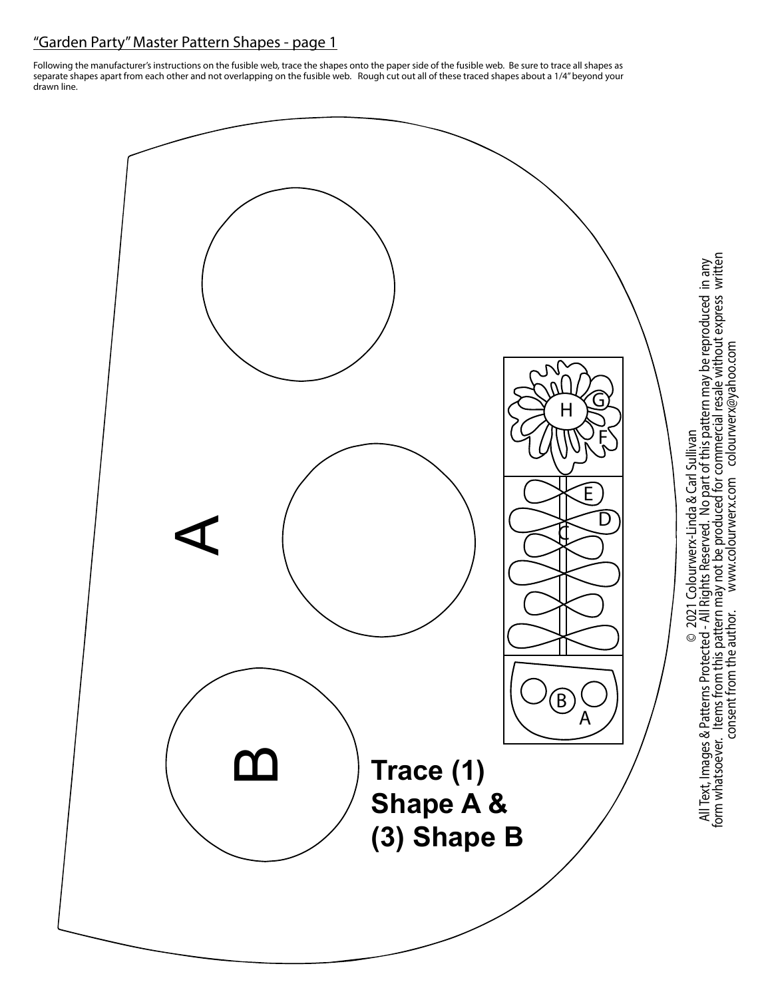## "Garden Party" Master Pattern Shapes - page 1

Following the manufacturer's instructions on the fusible web, trace the shapes onto the paper side of the fusible web. Be sure to trace all shapes as separate shapes apart from each other and not overlapping on the fusible web. Rough cut out all of these traced shapes about a 1/4" beyond your drawn line.

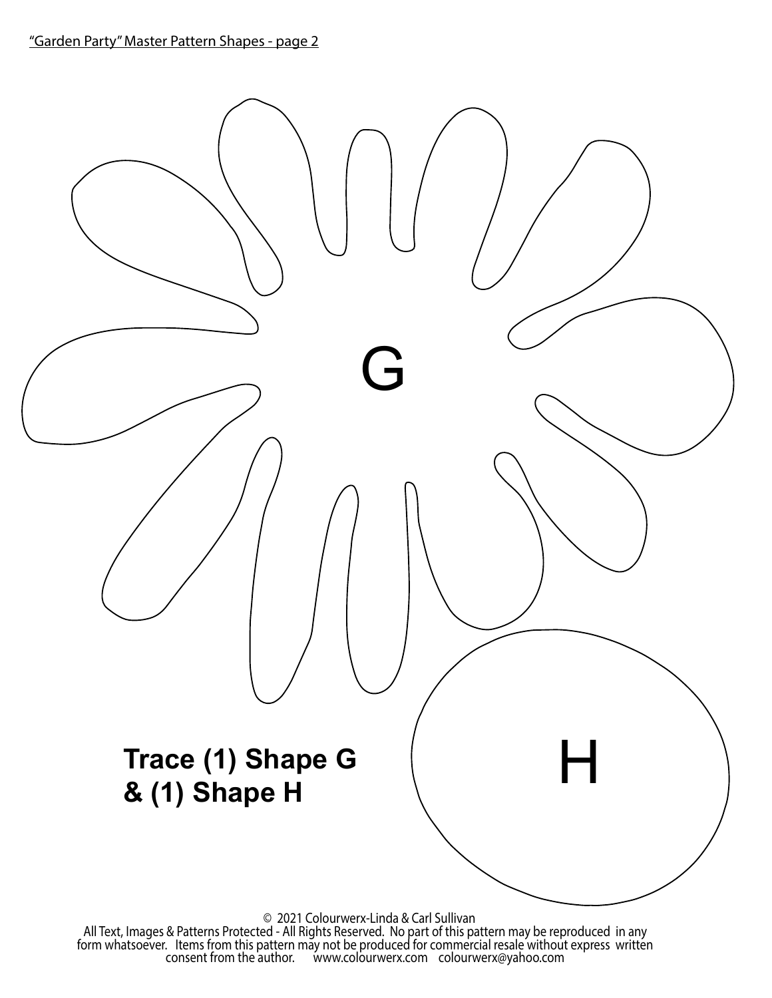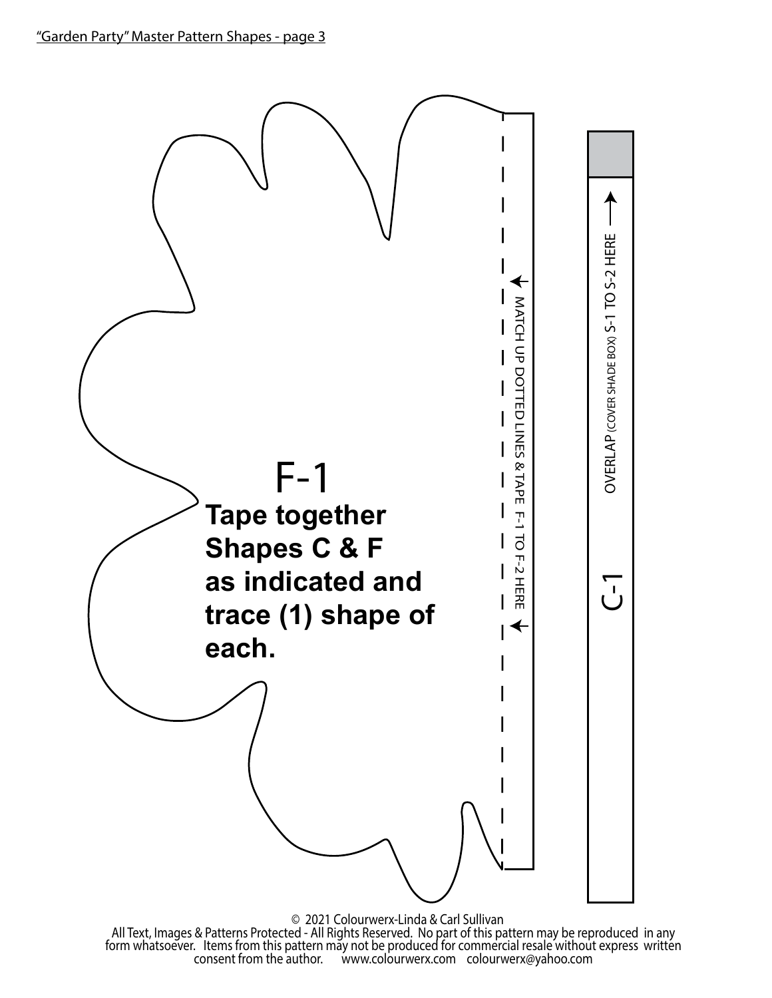

All Text, Images & Patterns Protected - All Rights Reserved. No part of this pattern may be reproduced in any<br>form whatsoever. Items from this pattern may not be produced for commercial resale without express written<br>